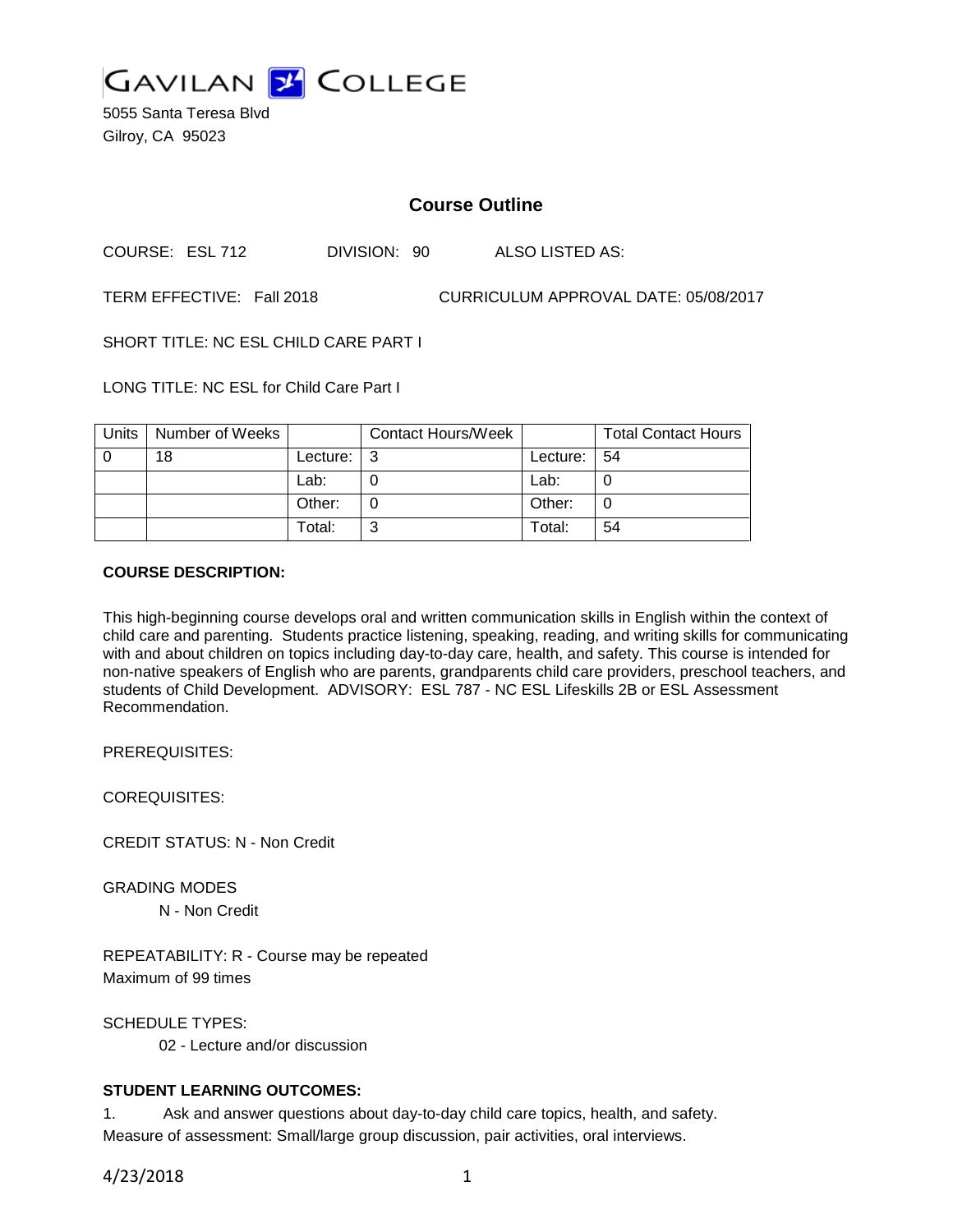

5055 Santa Teresa Blvd Gilroy, CA 95023

# **Course Outline**

COURSE: ESL 712 DIVISION: 90 ALSO LISTED AS:

TERM EFFECTIVE: Fall 2018 CURRICULUM APPROVAL DATE: 05/08/2017

SHORT TITLE: NC ESL CHILD CARE PART I

LONG TITLE: NC ESL for Child Care Part I

| Units | Number of Weeks |          | <b>Contact Hours/Week</b> |                 | <b>Total Contact Hours</b> |
|-------|-----------------|----------|---------------------------|-----------------|----------------------------|
|       | 18              | Lecture: | ູ                         | Lecture: $ 54 $ |                            |
|       |                 | Lab:     |                           | Lab:            |                            |
|       |                 | Other:   |                           | Other:          |                            |
|       |                 | Total:   | ົ                         | Total:          | 54                         |

#### **COURSE DESCRIPTION:**

This high-beginning course develops oral and written communication skills in English within the context of child care and parenting. Students practice listening, speaking, reading, and writing skills for communicating with and about children on topics including day-to-day care, health, and safety. This course is intended for non-native speakers of English who are parents, grandparents child care providers, preschool teachers, and students of Child Development. ADVISORY: ESL 787 - NC ESL Lifeskills 2B or ESL Assessment Recommendation.

PREREQUISITES:

COREQUISITES:

CREDIT STATUS: N - Non Credit

GRADING MODES N - Non Credit

REPEATABILITY: R - Course may be repeated Maximum of 99 times

SCHEDULE TYPES: 02 - Lecture and/or discussion

#### **STUDENT LEARNING OUTCOMES:**

1. Ask and answer questions about day-to-day child care topics, health, and safety. Measure of assessment: Small/large group discussion, pair activities, oral interviews.

4/23/2018 1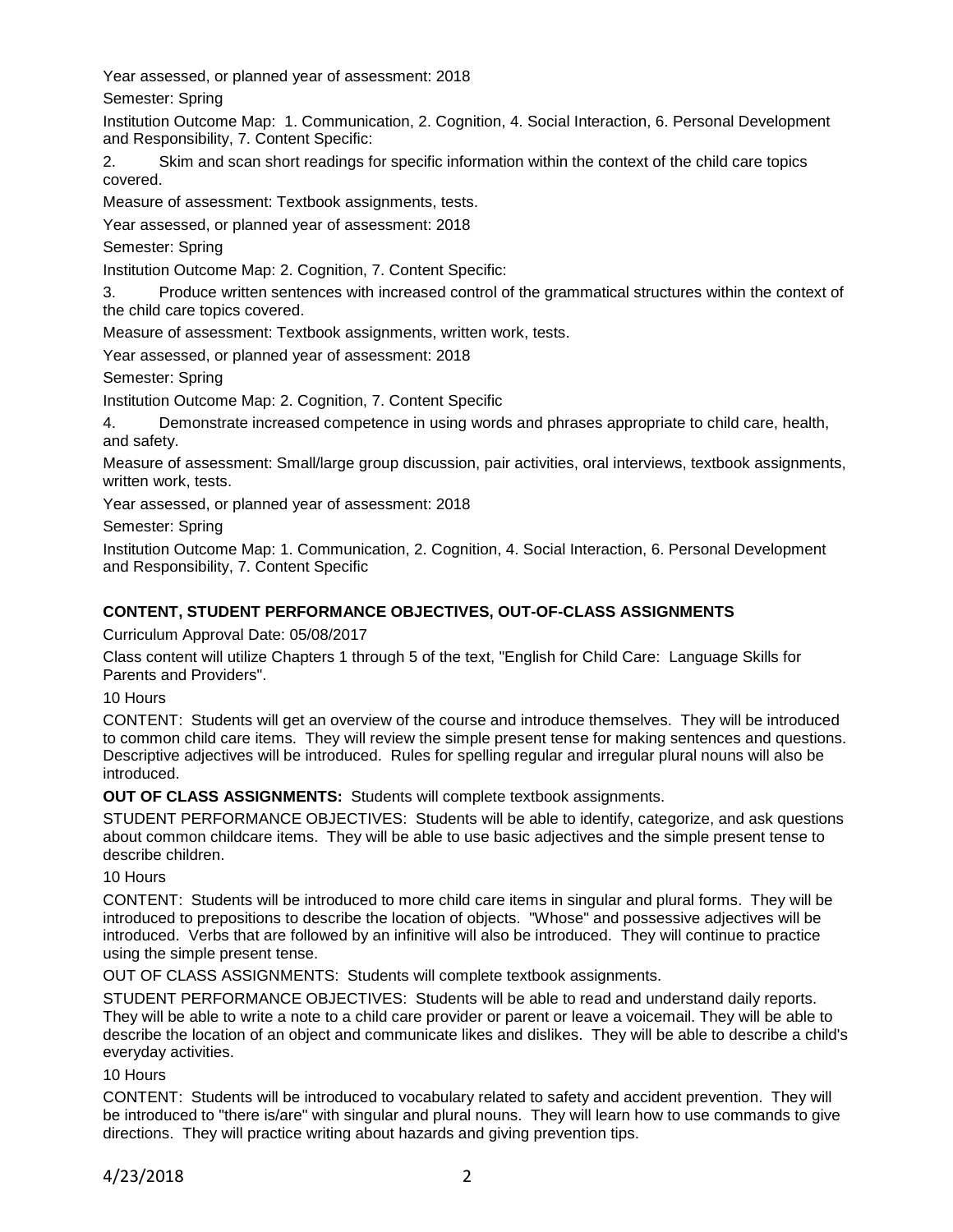Year assessed, or planned year of assessment: 2018

Semester: Spring

Institution Outcome Map: 1. Communication, 2. Cognition, 4. Social Interaction, 6. Personal Development and Responsibility, 7. Content Specific:

2. Skim and scan short readings for specific information within the context of the child care topics covered.

Measure of assessment: Textbook assignments, tests.

Year assessed, or planned year of assessment: 2018

Semester: Spring

Institution Outcome Map: 2. Cognition, 7. Content Specific:

3. Produce written sentences with increased control of the grammatical structures within the context of the child care topics covered.

Measure of assessment: Textbook assignments, written work, tests.

Year assessed, or planned year of assessment: 2018

Semester: Spring

Institution Outcome Map: 2. Cognition, 7. Content Specific

4. Demonstrate increased competence in using words and phrases appropriate to child care, health, and safety.

Measure of assessment: Small/large group discussion, pair activities, oral interviews, textbook assignments, written work, tests.

Year assessed, or planned year of assessment: 2018

Semester: Spring

Institution Outcome Map: 1. Communication, 2. Cognition, 4. Social Interaction, 6. Personal Development and Responsibility, 7. Content Specific

### **CONTENT, STUDENT PERFORMANCE OBJECTIVES, OUT-OF-CLASS ASSIGNMENTS**

Curriculum Approval Date: 05/08/2017

Class content will utilize Chapters 1 through 5 of the text, "English for Child Care: Language Skills for Parents and Providers".

10 Hours

CONTENT: Students will get an overview of the course and introduce themselves. They will be introduced to common child care items. They will review the simple present tense for making sentences and questions. Descriptive adjectives will be introduced. Rules for spelling regular and irregular plural nouns will also be introduced.

**OUT OF CLASS ASSIGNMENTS:** Students will complete textbook assignments.

STUDENT PERFORMANCE OBJECTIVES: Students will be able to identify, categorize, and ask questions about common childcare items. They will be able to use basic adjectives and the simple present tense to describe children.

10 Hours

CONTENT: Students will be introduced to more child care items in singular and plural forms. They will be introduced to prepositions to describe the location of objects. "Whose" and possessive adjectives will be introduced. Verbs that are followed by an infinitive will also be introduced. They will continue to practice using the simple present tense.

OUT OF CLASS ASSIGNMENTS: Students will complete textbook assignments.

STUDENT PERFORMANCE OBJECTIVES: Students will be able to read and understand daily reports. They will be able to write a note to a child care provider or parent or leave a voicemail. They will be able to describe the location of an object and communicate likes and dislikes. They will be able to describe a child's everyday activities.

10 Hours

CONTENT: Students will be introduced to vocabulary related to safety and accident prevention. They will be introduced to "there is/are" with singular and plural nouns. They will learn how to use commands to give directions. They will practice writing about hazards and giving prevention tips.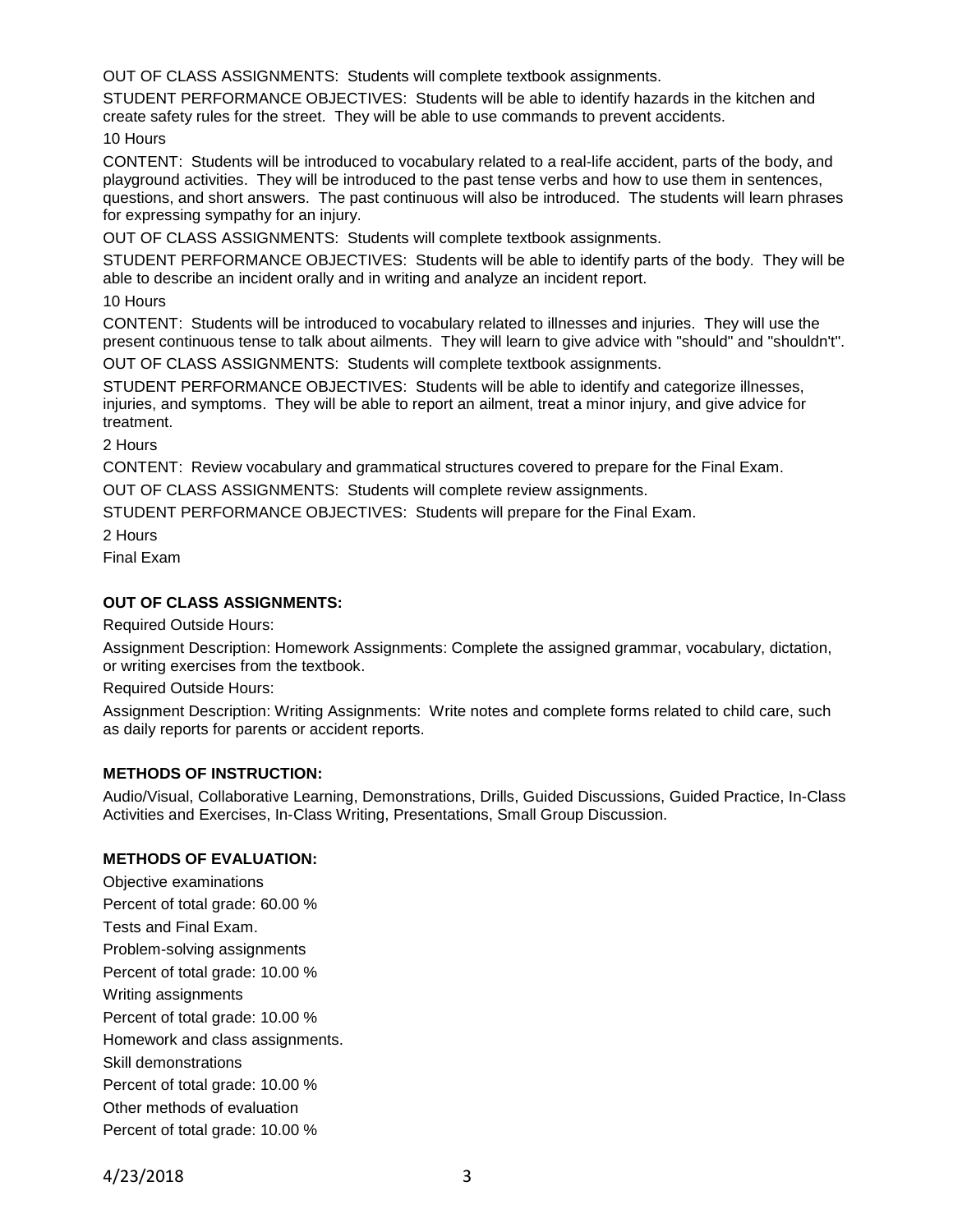OUT OF CLASS ASSIGNMENTS: Students will complete textbook assignments.

STUDENT PERFORMANCE OBJECTIVES: Students will be able to identify hazards in the kitchen and create safety rules for the street. They will be able to use commands to prevent accidents.

10 Hours

CONTENT: Students will be introduced to vocabulary related to a real-life accident, parts of the body, and playground activities. They will be introduced to the past tense verbs and how to use them in sentences, questions, and short answers. The past continuous will also be introduced. The students will learn phrases for expressing sympathy for an injury.

OUT OF CLASS ASSIGNMENTS: Students will complete textbook assignments.

STUDENT PERFORMANCE OBJECTIVES: Students will be able to identify parts of the body. They will be able to describe an incident orally and in writing and analyze an incident report.

10 Hours

CONTENT: Students will be introduced to vocabulary related to illnesses and injuries. They will use the present continuous tense to talk about ailments. They will learn to give advice with "should" and "shouldn't".

OUT OF CLASS ASSIGNMENTS: Students will complete textbook assignments.

STUDENT PERFORMANCE OBJECTIVES: Students will be able to identify and categorize illnesses, injuries, and symptoms. They will be able to report an ailment, treat a minor injury, and give advice for treatment.

2 Hours

CONTENT: Review vocabulary and grammatical structures covered to prepare for the Final Exam.

OUT OF CLASS ASSIGNMENTS: Students will complete review assignments.

STUDENT PERFORMANCE OBJECTIVES: Students will prepare for the Final Exam.

2 Hours

Final Exam

# **OUT OF CLASS ASSIGNMENTS:**

Required Outside Hours:

Assignment Description: Homework Assignments: Complete the assigned grammar, vocabulary, dictation, or writing exercises from the textbook.

Required Outside Hours:

Assignment Description: Writing Assignments: Write notes and complete forms related to child care, such as daily reports for parents or accident reports.

# **METHODS OF INSTRUCTION:**

Audio/Visual, Collaborative Learning, Demonstrations, Drills, Guided Discussions, Guided Practice, In-Class Activities and Exercises, In-Class Writing, Presentations, Small Group Discussion.

# **METHODS OF EVALUATION:**

Objective examinations Percent of total grade: 60.00 % Tests and Final Exam. Problem-solving assignments Percent of total grade: 10.00 % Writing assignments Percent of total grade: 10.00 % Homework and class assignments. Skill demonstrations Percent of total grade: 10.00 % Other methods of evaluation Percent of total grade: 10.00 %

4/23/2018 3